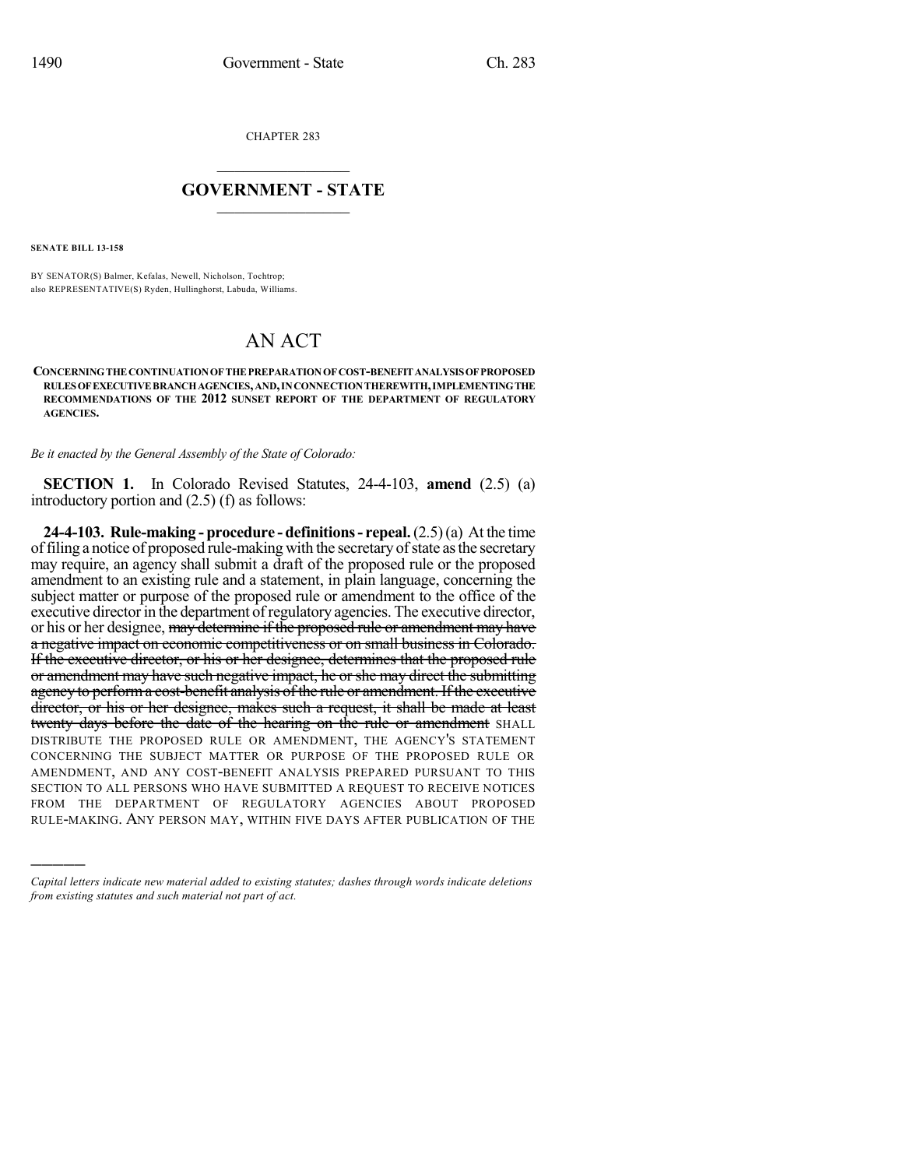CHAPTER 283

## $\overline{\phantom{a}}$  . The set of the set of the set of the set of the set of the set of the set of the set of the set of the set of the set of the set of the set of the set of the set of the set of the set of the set of the set o **GOVERNMENT - STATE**  $\_$

**SENATE BILL 13-158**

)))))

BY SENATOR(S) Balmer, Kefalas, Newell, Nicholson, Tochtrop; also REPRESENTATIVE(S) Ryden, Hullinghorst, Labuda, Williams.

## AN ACT

**CONCERNINGTHE CONTINUATIONOF THE PREPARATIONOF COST-BENEFITANALYSISOFPROPOSED RULESOFEXECUTIVE BRANCHAGENCIES,AND,INCONNECTIONTHEREWITH,IMPLEMENTINGTHE RECOMMENDATIONS OF THE 2012 SUNSET REPORT OF THE DEPARTMENT OF REGULATORY AGENCIES.**

*Be it enacted by the General Assembly of the State of Colorado:*

**SECTION 1.** In Colorado Revised Statutes, 24-4-103, **amend** (2.5) (a) introductory portion and (2.5) (f) as follows:

**24-4-103. Rule-making - procedure - definitions- repeal.**(2.5)(a) At the time of filing a notice of proposed rule-making with the secretary of state as the secretary may require, an agency shall submit a draft of the proposed rule or the proposed amendment to an existing rule and a statement, in plain language, concerning the subject matter or purpose of the proposed rule or amendment to the office of the executive director in the department of regulatory agencies. The executive director, or his or her designee, may determine if the proposed rule or amendment may have a negative impact on economic competitiveness or on small business in Colorado. If the executive director, or his or her designee, determines that the proposed rule or amendment may have such negative impact, he orshe may direct the submitting agency to perform a cost-benefit analysis of the rule or amendment. If the executive director, or his or her designee, makes such a request, it shall be made at least twenty days before the date of the hearing on the rule or amendment SHALL DISTRIBUTE THE PROPOSED RULE OR AMENDMENT, THE AGENCY'S STATEMENT CONCERNING THE SUBJECT MATTER OR PURPOSE OF THE PROPOSED RULE OR AMENDMENT, AND ANY COST-BENEFIT ANALYSIS PREPARED PURSUANT TO THIS SECTION TO ALL PERSONS WHO HAVE SUBMITTED A REQUEST TO RECEIVE NOTICES FROM THE DEPARTMENT OF REGULATORY AGENCIES ABOUT PROPOSED RULE-MAKING. ANY PERSON MAY, WITHIN FIVE DAYS AFTER PUBLICATION OF THE

*Capital letters indicate new material added to existing statutes; dashes through words indicate deletions from existing statutes and such material not part of act.*